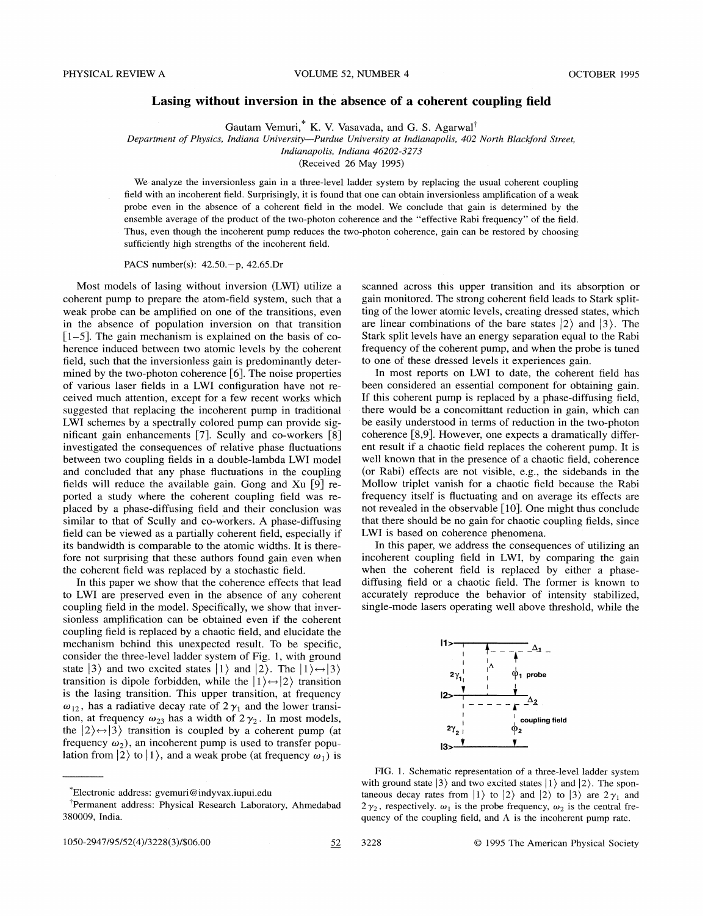## Lasing without inversion in the absence of a coherent coupling field

Gautam Vemuri, $^*$  K. V. Vasavada, and G. S. Agarwal<sup>†</sup>

Department of Physics, Indiana University—Purdue University at Indianapolis, 402 North Blackford Street,

IndianapoIis, Indiana 46202-3273

(Received 26 May 1995)

We analyze the inversionless gain in a three-level ladder system by replacing the usual coherent coupling field with an incoherent field. Surprisingly, it is found that one can obtain inversionless amplification of a weak probe even in the absence of a coherent field in the model. We conclude that gain is determined by the ensemble average of the product of the two-photon coherence and the "effective Rabi frequency" of the field. Thus, even though the incoherent pump reduces the two-photon coherence, gain can be restored by choosing sufficiently high strengths of the incoherent field.

PACS number(s): 42.50.—p, 42.65.Dr

Most models of lasing without inversion (LWI) utilize a coherent pump to prepare the atom-field system, such that a weak probe can be amplified on one of the transitions, even in the absence of population inversion on that transition  $[1-5]$ . The gain mechanism is explained on the basis of coherence induced between two atomic levels by the coherent field, such that the inversionless gain is predominantly determined by the two-photon coherence [6].The noise properties of various laser fields in a LWI configuration have not received much attention, except for a few recent works which suggested that replacing the incoherent pump in traditional LWI schemes by a spectrally colored pump can provide significant gain enhancements [7]. Scully and co-workers [8] investigated the consequences of relative phase fIuctuations between two coupling fields in a double-lambda LWI model and concluded that any phase fIuctuations in the coupling fields will reduce the available gain. Gong and Xu [9] reported a study where the coherent coupling field was replaced by a phase-diffusing field and their conclusion was similar to that of Scully and co-workers. A phase-diffusing field can be viewed as a partially coherent field, especially if its bandwidth is comparable to the atomic widths. It is therefore not surprising that these authors found gain even when the coherent field was replaced by a stochastic field.

In this paper we show that the coherence effects that lead to LWI are preserved even in the absence of any coherent coupling field in the model. Specifically, we show that inversionless amplification can be obtained even if the coherent coupling field is replaced by a chaotic field, and elucidate the mechanism behind this unexpected result. To be specific, consider the three-level ladder system of Fig. I, with ground state  $|3\rangle$  and two excited states  $|1\rangle$  and  $|2\rangle$ . The  $|1\rangle \leftrightarrow |3\rangle$ transition is dipole forbidden, while the  $|1\rangle \leftrightarrow |2\rangle$  transition is the lasing transition. This upper transition, at frequency  $\omega_{12}$ , has a radiative decay rate of  $2\gamma_1$  and the lower transition, at frequency  $\omega_{23}$  has a width of  $2\gamma_2$ . In most models, the  $|2\rangle \leftrightarrow |3\rangle$  transition is coupled by a coherent pump (at frequency  $\omega_2$ , an incoherent pump is used to transfer population from  $|2\rangle$  to  $|1\rangle$ , and a weak probe (at frequency  $\omega_1$ ) is scanned across this upper transition and its absorption or gain monitored. The strong coherent field leads to Stark splitting of the lower atomic levels, creating dressed states, which are linear combinations of the bare states  $|2\rangle$  and  $|3\rangle$ . The Stark split levels have an energy separation equal to the Rabi frequency of the coherent pump, and when the probe is tuned to one of these dressed levels it experiences gain.

In most reports on LWI to date, the coherent field has been considered an essential component for obtaining gain. If this coherent pump is replaced by a phase-diffusing field, there would be a concomittant reduction in gain, which can be easily understood in terms of reduction in the two-photon coherence [8,9]. However, one expects a dramatically different result if a chaotic field replaces the coherent pump. It is well known that in the presence of a chaotic field, coherence (or Rabi) effects are not visible, e.g., the sidebands in the Mollow triplet vanish for a chaotic field because the Rabi frequency itself is fluctuating and on average its effects are not revealed in the observable [10]. One might thus conclude that there should be no gain for chaotic coupling fields, since LWI is based on coherence phenomena.

In this paper, we address the consequences of utilizing an incoherent coupling field in LWI, by comparing the gain when the coherent field is replaced by either a phasediffusing field or a chaotic field. The former is known to accurately reproduce the behavior of intensity stabilized, single-mode lasers operating well above threshold, while the



FIG. 1. Schematic representation of a three-level ladder system with ground state  $|3\rangle$  and two excited states  $|1\rangle$  and  $|2\rangle$ . The spontaneous decay rates from  $|1\rangle$  to  $|2\rangle$  and  $|2\rangle$  to  $|3\rangle$  are  $2\gamma_1$  and  $2\gamma_2$ , respectively.  $\omega_1$  is the probe frequency,  $\omega_2$  is the central frequency of the coupling field, and  $\Lambda$  is the incoherent pump rate.

Electronic address: gvemuri@indyvax. iupui. edu

<sup>&</sup>lt;sup>†</sup>Permanent address: Physical Research Laboratory, Ahmedabad 380009, India.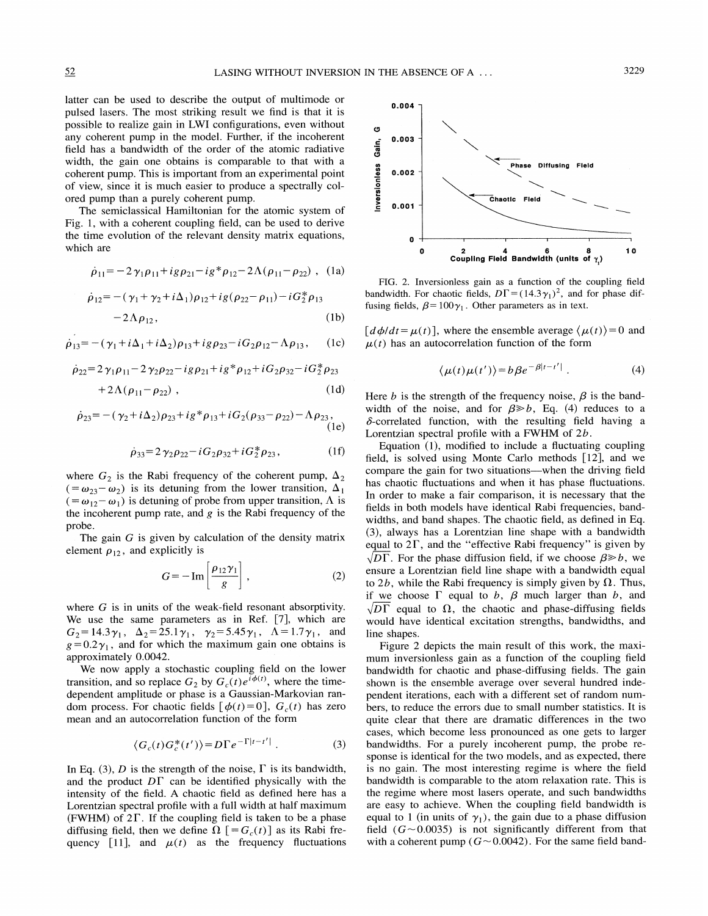latter can be used to describe the output of multimode or pulsed lasers. The most striking result we find is that it is possible to realize gain in LWI configurations, even without any coherent pump in the model. Further, if the incoherent field has a bandwidth of the order of the atomic radiative width, the gain one obtains is comparable to that with a coherent pump. This is important from an experimental point of view, since it is much easier to produce a spectrally colored pump than a purely coherent pump.

The semiclassical Hamiltonian for the atomic system of Fig. 1, with a coherent coupling field, can be used to derive the time evolution of the relevant density matrix equations, which are

$$
\dot{\rho}_{11} = -2\gamma_1 \rho_{11} + ig \rho_{21} - ig^* \rho_{12} - 2\Lambda (\rho_{11} - \rho_{22}), \quad (1a)
$$

$$
\dot{\rho}_{12} = -(\gamma_1 + \gamma_2 + i\Delta_1)\rho_{12} + ig(\rho_{22} - \rho_{11}) - iG_2^* \rho_{13} - 2\Lambda \rho_{12},
$$
\n(1b)

$$
\rho_{13} = -(\gamma_1 + i\Delta_1 + i\Delta_2)\rho_{13} + ig\rho_{23} - iG_2\rho_{12} - \Lambda\rho_{13}, \qquad (1c)
$$

$$
\dot{\rho}_{22} = 2\gamma_1 \rho_{11} - 2\gamma_2 \rho_{22} - ig \rho_{21} + ig^* \rho_{12} + iG_2 \rho_{32} - iG_2^* \rho_{23} \qquad \langle \mu(t)\mu(t') \rangle = b\beta e^{-\beta|t-t'|}. \tag{4}
$$
  
+2 $\Lambda(\rho_{11} - \rho_{22})$ , (1d) Here *h* is the strength of the frequency noise. *B* is the band-

$$
\dot{\rho}_{23} = -(\gamma_2 + i\Delta_2)\rho_{23} + ig * \rho_{13} + iG_2(\rho_{33} - \rho_{22}) - \Lambda \rho_{23},
$$
\n(1e)

$$
\dot{\rho}_{33} = 2 \gamma_2 \rho_{22} - i G_2 \rho_{32} + i G_2^* \rho_{23}, \qquad (1f)
$$

where  $G_2$  is the Rabi frequency of the coherent pump,  $\Delta_2$  $(t = \omega_{23} - \omega_2)$  is its detuning from the lower transition,  $\Delta_1$  $( = \omega_{12} - \omega_1 )$  is detuning of probe from upper transition,  $\Lambda$  is the incoherent pump rate, and  $g$  is the Rabi frequency of the probe.

The gain G is given by calculation of the density matrix element  $\rho_{12}$ , and explicitly is

$$
G = -\operatorname{Im}\left[\frac{\rho_{12}\gamma_1}{g}\right],\tag{2}
$$

where  $G$  is in units of the weak-field resonant absorptivity. We use the same parameters as in Ref. [7], which are  $G_2 = 14.3\gamma_1$ ,  $\Delta_2 = 25.1\gamma_1$ ,  $\gamma_2 = 5.45\gamma_1$ ,  $\Delta = 1.7\gamma_1$ , and  $g=0.2\gamma_1$ , and for which the maximum gain one obtains is approximately 0.0042.

We now apply a stochastic coupling field on the lower transition, and so replace  $G_2$  by  $G_c(t)e^{i\phi(t)}$ , where the timedependent amplitude or phase is a Gaussian-Markovian random process. For chaotic fields  $[\phi(t)=0]$ ,  $G_c(t)$  has zero mean and an autocorrelation function of the form

$$
\langle G_c(t) G_c^*(t') \rangle = D \Gamma e^{-\Gamma |t-t'|} . \tag{3}
$$

In Eq. (3), D is the strength of the noise,  $\Gamma$  is its bandwidth, and the product  $D\Gamma$  can be identified physically with the intensity of the field. A chaotic field as defined here has a Lorentzian spectral profile with a full width at half maximum  $(FWHM)$  of  $2\Gamma$ . If the coupling field is taken to be a phase diffusing field, then we define  $\Omega$  [= $G_c(t)$ ] as its Rabi frequency [11], and  $\mu(t)$  as the frequency fluctuations



FIG. 2. Inversionless gain as a function of the coupling field bandwidth. For chaotic fields,  $D\Gamma = (14.3\gamma_1)^2$ , and for phase diffusing fields,  $\beta = 100\gamma_1$ . Other parameters as in text.

 $\left[d\phi/dt=\mu(t)\right]$ , where the ensemble average  $\langle \mu(t)\rangle = 0$  and  $\mu(t)$  has an autocorrelation function of the form

$$
|\mu(t)\mu(t')\rangle = b\beta e^{-\beta|t-t'|} \tag{4}
$$

Here b is the strength of the frequency noise,  $\beta$  is the bandwidth of the noise, and for  $\beta \gg b$ , Eq. (4) reduces to a  $\delta$ -correlated function, with the resulting field having a Lorentzian spectral profile with a FWHM of 2b.

Equation (1), modified to include a fluctuating coupling field, is solved using Monte Carlo methods [12], and we compare the gain for two situations—when the driving field has chaotic fluctuations and when it has phase fluctuations. In order to make a fair comparison, it is necessary that the fields in both models have identical Rabi frequencies, bandwidths, and band shapes. The chaotic field, as defined in Eq. (3), always has a Lorentzian line shape with a bandwidth equal to  $2\Gamma$ , and the "effective Rabi frequency" is given by  $\sqrt{D\Gamma}$ . For the phase diffusion field, if we choose  $\beta \ge b$ , we ensure a Lorentzian field line shape with a bandwidth equal to 2b, while the Rabi frequency is simply given by  $\Omega$ . Thus, if we choose  $\Gamma$  equal to b,  $\beta$  much larger than b, and  $\sqrt{D\Gamma}$  equal to  $\Omega$ , the chaotic and phase-diffusing fields would have identical excitation strengths, bandwidths, and line shapes.

Figure 2 depicts the main result of this work, the maximum inversionless gain as a function of the coupling field bandwidth for chaotic and phase-diffusing fields. The gain shown is the ensemble average over several hundred independent iterations, each with a different set of random numbers, to reduce the errors due to small number statistics. It is quite clear that there are dramatic differences in the two cases, which become less pronounced as one gets to larger bandwidths. For a purely incoherent pump, the probe response is identical for the two models, and as expected, there is no gain. The most interesting regime is where the field bandwidth is comparable to the atom relaxation rate. This is the regime where most lasers operate, and such bandwidths are easy to achieve. When the coupling field bandwidth is equal to 1 (in units of  $\gamma_1$ ), the gain due to a phase diffusion field  $(G \sim 0.0035)$  is not significantly different from that with a coherent pump ( $G \sim 0.0042$ ). For the same field band